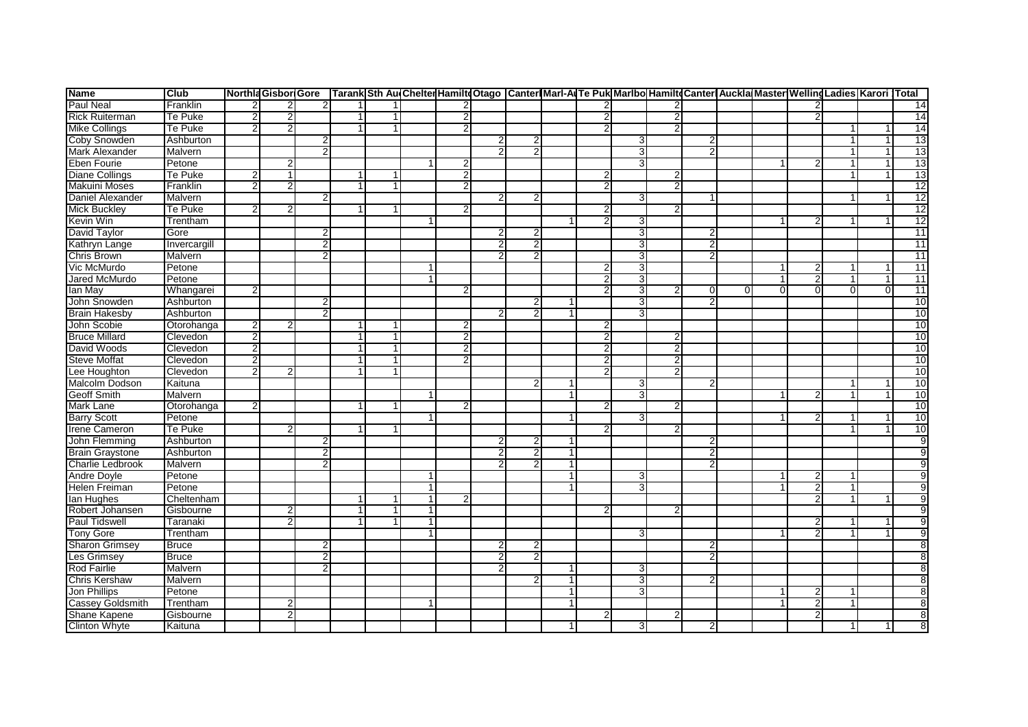| <b>Name</b>             | <b>Club</b>  |                |               |                |   |                |                |                |                |    | NorthiaGisbor Gore  Tarank Sth Au(Chelter Hamilt(Otago  Canter Mari-ArTe Puk Maribo Hamilt(Canter Auckla Master WellingLadies Karori  Total |   |          |                          |                |              |                 |
|-------------------------|--------------|----------------|---------------|----------------|---|----------------|----------------|----------------|----------------|----|---------------------------------------------------------------------------------------------------------------------------------------------|---|----------|--------------------------|----------------|--------------|-----------------|
| <b>Paul Neal</b>        | Franklin     |                |               | 2              |   |                |                |                |                |    |                                                                                                                                             |   |          |                          |                |              | 14              |
| <b>Rick Ruiterman</b>   | Te Puke      |                |               |                |   | $\overline{2}$ |                |                |                |    | 2                                                                                                                                           |   |          | $\mathcal{P}$            |                |              | 14              |
| <b>Mike Collings</b>    | Te Puke      |                |               |                |   | $\overline{2}$ |                |                | 2              |    | $\overline{2}$                                                                                                                              |   |          |                          | -1             |              | 14              |
| <b>Coby Snowden</b>     | Ashburton    |                |               | $\overline{2}$ |   |                | $\overline{2}$ | 2              |                |    |                                                                                                                                             |   |          |                          | 1              | $\mathbf{1}$ | 13              |
| Mark Alexander          | Malvern      |                |               |                |   |                |                |                |                | 31 |                                                                                                                                             |   |          |                          | $\mathbf{1}$   |              | 13              |
| Eben Fourie             | Petone       |                |               |                |   | $\overline{2}$ |                |                |                | 3  |                                                                                                                                             |   |          |                          | $\mathbf 1$    |              | 13              |
| <b>Diane Collings</b>   | Te Puke      |                | -1            |                |   | $\overline{2}$ |                |                | 2              |    | $\overline{2}$                                                                                                                              |   |          |                          | $\mathbf{1}$   |              | 13              |
| <b>Makuini Moses</b>    | Franklin     | 2              | $\mathcal{P}$ |                | 1 | $\overline{2}$ |                |                | $\mathfrak{p}$ |    | $\overline{2}$                                                                                                                              |   |          |                          |                |              | 12              |
| <b>Daniel Alexander</b> | Malvern      |                |               | $\overline{2}$ |   |                | $\mathcal{D}$  | $\mathcal{P}$  |                |    |                                                                                                                                             |   |          |                          |                |              | 12              |
| <b>Mick Buckley</b>     | Te Puke      |                | 2             |                |   | 2              |                |                | $\overline{2}$ |    | $\overline{2}$                                                                                                                              |   |          |                          |                |              | 12              |
| Kevin Win               | Trentham     |                |               |                |   |                |                |                | 2              |    |                                                                                                                                             |   |          |                          |                |              | 12              |
| David Taylor            | Gore         |                |               | $\overline{2}$ |   |                | 2              | 2              |                | 31 |                                                                                                                                             |   |          |                          |                |              | 11              |
| Kathryn Lange           | Invercargill |                |               | $\overline{2}$ |   |                | 2              | 2              |                | 3  |                                                                                                                                             |   |          |                          |                |              | 11              |
| <b>Chris Brown</b>      | Malvern      |                |               | $\overline{2}$ |   |                |                |                |                |    |                                                                                                                                             |   |          |                          |                |              | $\overline{11}$ |
| Vic McMurdo             | Petone       |                |               |                |   |                |                |                | 2              | 3  |                                                                                                                                             |   |          | 2                        |                |              | 11              |
| Jared McMurdo           | Petone       |                |               |                |   |                |                |                | $\overline{2}$ | 3  |                                                                                                                                             |   |          | $\overline{\phantom{a}}$ | 1              | 1            | 11              |
| lan May                 | Whangarei    |                |               |                |   | 2              |                |                |                | 3  |                                                                                                                                             |   | $\Omega$ | $\Omega$                 | $\overline{0}$ |              | 11              |
| John Snowden            | Ashburton    |                |               | $\overline{2}$ |   |                |                | 2              |                | 3  |                                                                                                                                             |   |          |                          |                |              | 10              |
| <b>Brain Hakesby</b>    | Ashburton    |                |               | $\overline{2}$ |   |                |                | $\overline{2}$ |                | 3  |                                                                                                                                             |   |          |                          |                |              | 10              |
| John Scobie             | Otorohanga   |                |               |                |   | $\overline{2}$ |                |                | 2              |    |                                                                                                                                             |   |          |                          |                |              | 10              |
| <b>Bruce Millard</b>    | Clevedon     | 2              |               |                | 1 | $\overline{2}$ |                |                | 2              |    | $\mathbf{2}$                                                                                                                                |   |          |                          |                |              | 10              |
| David Woods             | Clevedon     | $\overline{2}$ |               |                | 1 | $\overline{2}$ |                |                | $\overline{2}$ |    | $\overline{2}$                                                                                                                              |   |          |                          |                |              | 10              |
| <b>Steve Moffat</b>     | Clevedon     | 2              |               |                | 1 | $\overline{2}$ |                |                | $\overline{2}$ |    | $\overline{2}$                                                                                                                              |   |          |                          |                |              | 10              |
| Lee Houghton            | Clevedon     | 2              |               |                | 1 |                |                |                | 2              |    | $\overline{2}$                                                                                                                              |   |          |                          |                |              | 10              |
| Malcolm Dodson          | Kaituna      |                |               |                |   |                |                |                |                |    |                                                                                                                                             |   |          |                          |                |              | 10              |
| <b>Geoff Smith</b>      | Malvern      |                |               |                |   |                |                |                |                | 3  |                                                                                                                                             |   |          |                          |                |              | 10              |
| Mark Lane               | Otorohanga   |                |               |                |   | 2              |                |                | $\overline{2}$ |    | $\overline{2}$                                                                                                                              |   |          |                          |                |              | 10              |
| <b>Barry Scott</b>      | Petone       |                |               |                |   |                |                |                |                | З  |                                                                                                                                             |   |          |                          |                |              | 10              |
| <b>Irene Cameron</b>    | Te Puke      |                |               |                |   |                |                |                | 2              |    | $\overline{2}$                                                                                                                              |   |          |                          |                |              | 10              |
| John Flemming           | Ashburton    |                |               | $\overline{2}$ |   |                |                | 2              |                |    |                                                                                                                                             |   |          |                          |                |              |                 |
| <b>Brain Graystone</b>  | Ashburton    |                |               | $\overline{2}$ |   |                | 2              | $\overline{2}$ |                |    |                                                                                                                                             |   |          |                          |                |              |                 |
| Charlie Ledbrook        | Malvern      |                |               | 2              |   |                |                |                |                |    |                                                                                                                                             |   |          |                          |                |              |                 |
| <b>Andre Doyle</b>      | Petone       |                |               |                |   |                |                |                |                | 3  |                                                                                                                                             |   |          |                          |                |              |                 |
| Helen Freiman           | Petone       |                |               |                |   |                |                |                |                | 3  |                                                                                                                                             |   |          | $\overline{2}$           |                |              |                 |
| lan Hughes              | Cheltenham   |                |               |                |   | 2              |                |                |                |    |                                                                                                                                             |   |          | $\overline{2}$           |                |              |                 |
| Robert Johansen         | Gisbourne    |                |               |                |   |                |                |                |                |    |                                                                                                                                             |   |          |                          |                |              |                 |
| <b>Paul Tidswell</b>    | Taranaki     |                |               |                |   |                |                |                |                |    |                                                                                                                                             |   |          |                          |                |              |                 |
| <b>Tony Gore</b>        | Trentham     |                |               |                |   |                |                |                |                | 3  |                                                                                                                                             |   |          |                          |                |              |                 |
| <b>Sharon Grimsey</b>   | <b>Bruce</b> |                |               | $\overline{2}$ |   |                | $\overline{2}$ | 2              |                |    |                                                                                                                                             | 2 |          |                          |                |              |                 |
| Les Grimsey             | <b>Bruce</b> |                |               | $\overline{2}$ |   |                |                | 2              |                |    |                                                                                                                                             |   |          |                          |                |              |                 |
| <b>Rod Fairlie</b>      | Malvern      |                |               | 2              |   |                |                |                |                | 3  |                                                                                                                                             |   |          |                          |                |              |                 |
| Chris Kershaw           | Malvern      |                |               |                |   |                |                | 2              |                | 3  |                                                                                                                                             |   |          |                          |                |              |                 |
| Jon Phillips            | Petone       |                |               |                |   |                |                |                |                | 3  |                                                                                                                                             |   |          | 2                        |                |              |                 |
| <b>Cassey Goldsmith</b> | Trentham     |                | 2             |                |   |                |                |                |                |    |                                                                                                                                             |   |          | $\overline{2}$           | 1              |              |                 |
| Shane Kapene            | Gisbourne    |                |               |                |   |                |                |                | 2              |    | 2                                                                                                                                           |   |          | 2                        |                |              | 8               |
| <b>Clinton Whyte</b>    | Kaituna      |                |               |                |   |                |                |                |                | 3  |                                                                                                                                             |   |          |                          | 1              |              | 8               |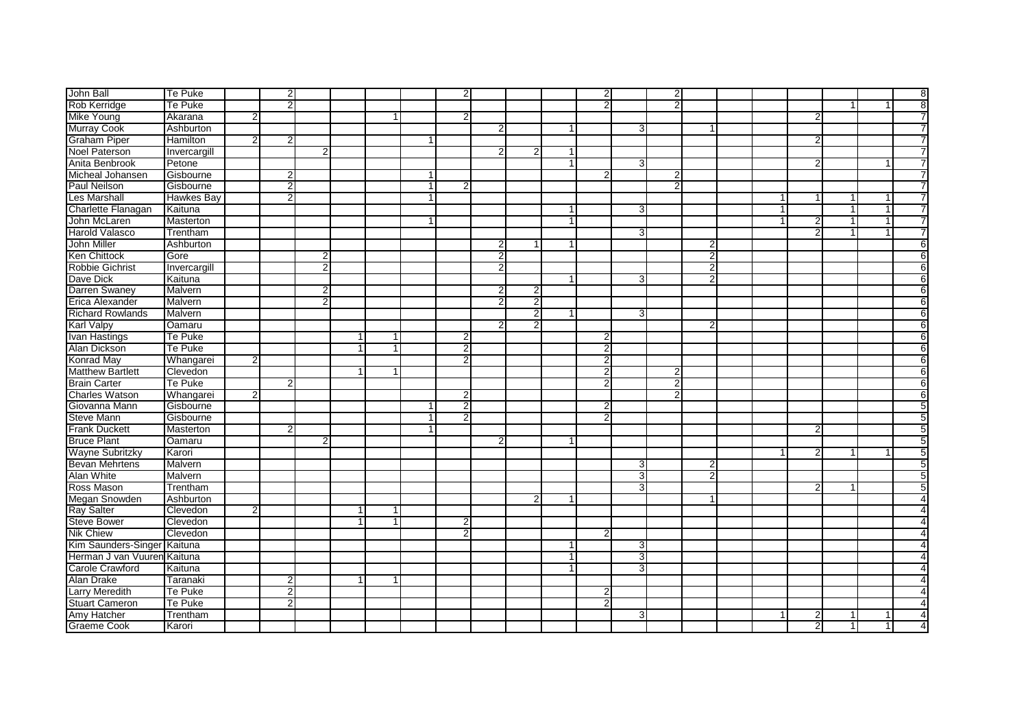| John Ball                   | <b>Te Puke</b>    |                | $\overline{2}$ |                |   |              |                | $\overline{2}$ |                |   |   | $\overline{2}$ |   | 2              |                |  |                |              |   | $\overline{\mathbf{8}}$ |
|-----------------------------|-------------------|----------------|----------------|----------------|---|--------------|----------------|----------------|----------------|---|---|----------------|---|----------------|----------------|--|----------------|--------------|---|-------------------------|
| Rob Kerridge                | Te Puke           |                | $\overline{2}$ |                |   |              |                |                |                |   |   | $\overline{2}$ |   | $\overline{2}$ |                |  |                | 1            |   | $\overline{8}$          |
| <b>Mike Young</b>           | Akarana           | $\overline{2}$ |                |                |   |              |                | $\overline{2}$ |                |   |   |                |   |                |                |  | 2              |              |   | 7                       |
| <b>Murray Cook</b>          | Ashburton         |                |                |                |   |              |                |                | 2              |   |   |                | 3 |                |                |  |                |              |   | 7                       |
| <b>Graham Piper</b>         | Hamilton          | $\overline{2}$ | $\overline{2}$ |                |   |              |                |                |                |   |   |                |   |                |                |  | 2              |              |   | 7                       |
| <b>Noel Paterson</b>        | Invercargill      |                |                | $\overline{2}$ |   |              |                |                | っ              |   |   |                |   |                |                |  |                |              |   | 7                       |
| Anita Benbrook              | Petone            |                |                |                |   |              |                |                |                |   |   |                | 3 |                |                |  | 2              |              |   | 7                       |
| Micheal Johansen            | Gisbourne         |                | $\overline{2}$ |                |   |              |                |                |                |   |   | 2              |   | 2              |                |  |                |              |   | 7                       |
| Paul Neilson                | Gisbourne         |                | $\overline{2}$ |                |   |              | $\overline{1}$ | 2              |                |   |   |                |   | $\overline{2}$ |                |  |                |              |   | $\overline{7}$          |
| <b>Les Marshall</b>         | <b>Hawkes Bay</b> |                | $\overline{2}$ |                |   |              |                |                |                |   |   |                |   |                |                |  |                | 1            |   | $\overline{7}$          |
| Charlette Flanagan          | Kaituna           |                |                |                |   |              |                |                |                |   | 1 |                | 3 |                |                |  |                | $\mathbf{1}$ | 1 | 7                       |
| John McLaren                | <b>Masterton</b>  |                |                |                |   |              |                |                |                |   |   |                |   |                |                |  |                |              |   | 7                       |
| <b>Harold Valasco</b>       | Trentham          |                |                |                |   |              |                |                |                |   |   |                | 3 |                |                |  |                |              |   | $\overline{7}$          |
| John Miller                 | Ashburton         |                |                |                |   |              |                |                | 2              |   |   |                |   |                | 2              |  |                |              |   | $6\overline{6}$         |
| <b>Ken Chittock</b>         | Gore              |                |                | $\overline{2}$ |   |              |                |                |                |   |   |                |   |                | 2              |  |                |              |   | 6                       |
| Robbie Gichrist             | Invercargill      |                |                | $\overline{2}$ |   |              |                |                | 2              |   |   |                |   |                | $\overline{2}$ |  |                |              |   | 6                       |
| Dave Dick                   | Kaituna           |                |                |                |   |              |                |                |                |   |   |                | 3 |                | $\overline{2}$ |  |                |              |   | $6\overline{6}$         |
| Darren Swaney               | Malvern           |                |                | $\overline{2}$ |   |              |                |                |                |   |   |                |   |                |                |  |                |              |   | 6                       |
| Erica Alexander             | Malvern           |                |                | $\overline{2}$ |   |              |                |                |                | 2 |   |                |   |                |                |  |                |              |   | 6                       |
| <b>Richard Rowlands</b>     | Malvern           |                |                |                |   |              |                |                |                |   |   |                | 3 |                |                |  |                |              |   | 6                       |
| <b>Karl Valpy</b>           | Oamaru            |                |                |                |   |              |                |                | $\mathcal{P}$  |   |   |                |   |                | $\overline{2}$ |  |                |              |   | $6\overline{6}$         |
| <b>Ivan Hastings</b>        | Te Puke           |                |                |                | 1 | -1           |                | 2              |                |   |   | $\overline{2}$ |   |                |                |  |                |              |   | $6\overline{6}$         |
| Alan Dickson                | Te Puke           |                |                |                |   | $\mathbf{1}$ |                | $\overline{2}$ |                |   |   | $\overline{2}$ |   |                |                |  |                |              |   | 6                       |
| <b>Konrad May</b>           | Whangarei         | $\overline{2}$ |                |                |   |              |                | $\overline{2}$ |                |   |   | $\overline{2}$ |   |                |                |  |                |              |   | 6                       |
| <b>Matthew Bartlett</b>     | Clevedon          |                |                |                |   | -1           |                |                |                |   |   | $\overline{2}$ |   | 2              |                |  |                |              |   | $\overline{6}$          |
| <b>Brain Carter</b>         | Te Puke           |                | $\overline{2}$ |                |   |              |                |                |                |   |   | $\overline{2}$ |   | $\overline{2}$ |                |  |                |              |   | 6                       |
| <b>Charles Watson</b>       | Whangarei         | $\overline{2}$ |                |                |   |              |                | 2              |                |   |   |                |   | $\overline{2}$ |                |  |                |              |   | $6\overline{6}$         |
| Giovanna Mann               | Gisbourne         |                |                |                |   |              |                | $\overline{2}$ |                |   |   | $\overline{2}$ |   |                |                |  |                |              |   | $\overline{5}$          |
| <b>Steve Mann</b>           | Gisbourne         |                |                |                |   |              |                | 2              |                |   |   | 2              |   |                |                |  |                |              |   | 5                       |
| <b>Frank Duckett</b>        | Masterton         |                | 2              |                |   |              |                |                |                |   |   |                |   |                |                |  | 2              |              |   | 5                       |
| <b>Bruce Plant</b>          | Oamaru            |                |                | $\overline{2}$ |   |              |                |                | $\overline{2}$ |   |   |                |   |                |                |  |                |              |   | 5                       |
| <b>Wayne Subritzky</b>      | Karori            |                |                |                |   |              |                |                |                |   |   |                |   |                |                |  |                |              |   | 5                       |
| <b>Bevan Mehrtens</b>       | Malvern           |                |                |                |   |              |                |                |                |   |   |                | 3 |                | $\overline{2}$ |  |                |              |   | $\overline{5}$          |
| <b>Alan White</b>           | Malvern           |                |                |                |   |              |                |                |                |   |   |                | 3 |                | $\overline{2}$ |  |                |              |   | 5                       |
| Ross Mason                  | Trentham          |                |                |                |   |              |                |                |                |   |   |                | 3 |                |                |  | 2              |              |   | 5                       |
| Megan Snowden               | Ashburton         |                |                |                |   |              |                |                |                | 2 |   |                |   |                |                |  |                |              |   | $\overline{4}$          |
| <b>Ray Salter</b>           | Clevedon          | $2 \,$         |                |                | 1 | -1           |                |                |                |   |   |                |   |                |                |  |                |              |   | 4                       |
| <b>Steve Bower</b>          | Clevedon          |                |                |                |   | $\mathbf{1}$ |                | 2              |                |   |   |                |   |                |                |  |                |              |   | 4                       |
| <b>Nik Chiew</b>            | Clevedon          |                |                |                |   |              |                | 2              |                |   |   | $\overline{2}$ |   |                |                |  |                |              |   | 4                       |
| Kim Saunders-Singer Kaituna |                   |                |                |                |   |              |                |                |                |   |   |                | 3 |                |                |  |                |              |   | 4                       |
| Herman J van Vuuren Kaituna |                   |                |                |                |   |              |                |                |                |   |   |                | 3 |                |                |  |                |              |   | $\overline{4}$          |
| <b>Carole Crawford</b>      | Kaituna           |                |                |                |   |              |                |                |                |   |   |                | 3 |                |                |  |                |              |   | 4                       |
| Alan Drake                  | Taranaki          |                | $\overline{2}$ |                |   | -1           |                |                |                |   |   |                |   |                |                |  |                |              |   | 4                       |
| <b>Larry Meredith</b>       | <b>Te Puke</b>    |                | $\overline{2}$ |                |   |              |                |                |                |   |   | 2              |   |                |                |  |                |              |   | 4                       |
| <b>Stuart Cameron</b>       | Te Puke           |                | $\overline{2}$ |                |   |              |                |                |                |   |   | $\overline{2}$ |   |                |                |  |                |              |   | 4                       |
| Amy Hatcher                 | Trentham          |                |                |                |   |              |                |                |                |   |   |                | 3 |                |                |  |                |              |   | 4                       |
| Graeme Cook                 | Karori            |                |                |                |   |              |                |                |                |   |   |                |   |                |                |  | $\overline{2}$ | 1            |   | $\overline{4}$          |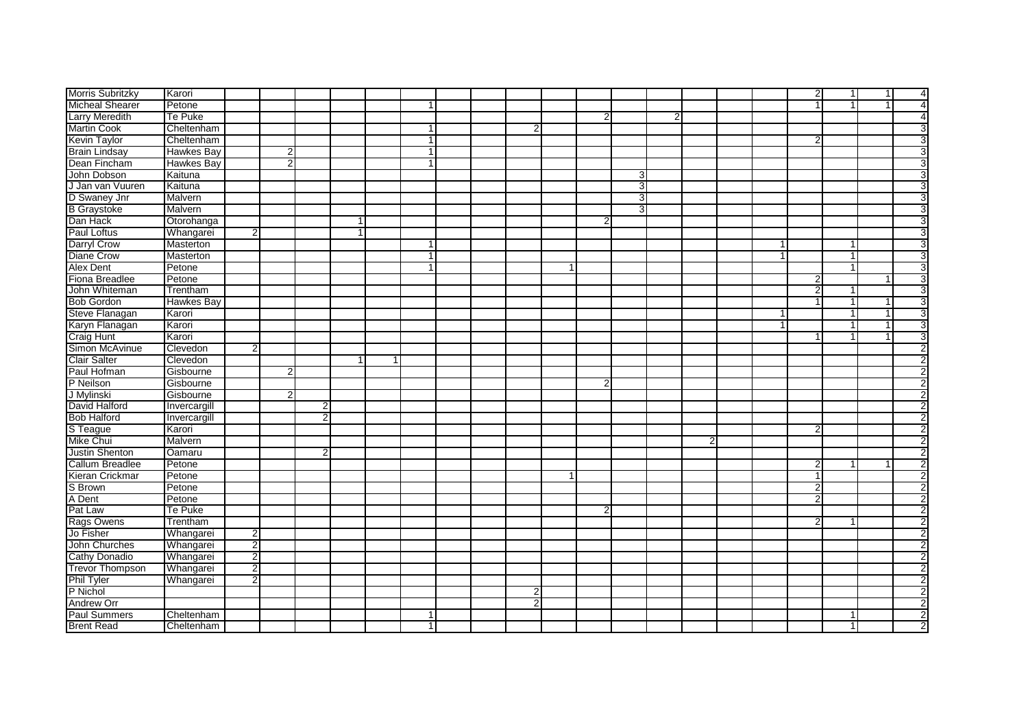| Morris Subritzky                 | Karori            |                |                |                |   |                |  |   |                |                |                |   |  | $\overline{2}$ | 1              | $\overline{1}$ | 4                       |
|----------------------------------|-------------------|----------------|----------------|----------------|---|----------------|--|---|----------------|----------------|----------------|---|--|----------------|----------------|----------------|-------------------------|
| <b>Micheal Shearer</b>           | Petone            |                |                |                |   | $\mathbf{1}$   |  |   |                |                |                |   |  | $\vert$ 1      | $\overline{1}$ | $\mathbf{1}$   | $\overline{4}$          |
| Larry Meredith<br>Martin Cook    | Te Puke           |                |                |                |   |                |  |   | $\overline{2}$ |                | $\overline{2}$ |   |  |                |                |                | 4                       |
|                                  | Cheltenham        |                |                |                |   | $\mathbf 1$    |  |   |                |                |                |   |  |                |                |                | 3                       |
| <b>Kevin Taylor</b>              | Cheltenham        |                |                |                |   | $\mathbf{1}$   |  |   |                |                |                |   |  | $\overline{2}$ |                |                | 3                       |
| <b>Brain Lindsay</b>             | <b>Hawkes Bay</b> |                | 2 <sub>l</sub> |                |   | $\mathbf{1}$   |  |   |                |                |                |   |  |                |                |                | 3                       |
| Dean Fincham                     | <b>Hawkes Bay</b> |                | $\overline{2}$ |                |   | $\mathbf{1}$   |  |   |                |                |                |   |  |                |                |                | $\overline{3}$          |
| John Dobson                      | Kaituna           |                |                |                |   |                |  |   |                | 3              |                |   |  |                |                |                | 3                       |
| J Jan van Vuuren                 | Kaituna           |                |                |                |   |                |  |   |                | 3 <sup>1</sup> |                |   |  |                |                |                | 3                       |
|                                  | Malvern           |                |                |                |   |                |  |   |                | 3 <sup>l</sup> |                |   |  |                |                |                | 3                       |
| D Swaney Jnr<br>B Graystoke      | Malvern           |                |                |                |   |                |  |   |                | З              |                |   |  |                |                |                | $\overline{3}$          |
| Dan Hack                         | Otorohanga        |                |                |                |   |                |  |   | $\overline{2}$ |                |                |   |  |                |                |                | 3                       |
| Paul Loftus                      | Whangarei         | $\overline{2}$ |                |                | 1 |                |  |   |                |                |                |   |  |                |                |                | 3                       |
| Darryl Crow                      | Masterton         |                |                |                |   | $\mathbf 1$    |  |   |                |                |                |   |  |                | 1              |                | 3                       |
| <b>Diane Crow</b>                | Masterton         |                |                |                |   | -1             |  |   |                |                |                |   |  |                | 1              |                | 3                       |
| <b>Alex Dent</b>                 | Petone            |                |                |                |   | $\overline{1}$ |  |   |                |                |                |   |  |                | $\mathbf{1}$   |                | $\overline{3}$          |
| Fiona Breadlee                   | Petone            |                |                |                |   |                |  |   |                |                |                |   |  | 2              |                |                | 3                       |
| John Whiteman                    | Trentham          |                |                |                |   |                |  |   |                |                |                |   |  | $\overline{2}$ | 1              |                | 3                       |
| <b>Bob Gordon</b>                | <b>Hawkes Bay</b> |                |                |                |   |                |  |   |                |                |                |   |  | $\mathbf{1}$   | $\overline{1}$ |                | 3                       |
|                                  | Karori            |                |                |                |   |                |  |   |                |                |                |   |  |                | $\mathbf{1}$   | $\mathbf{1}$   | 3                       |
| Steve Flanagan<br>Karyn Flanagan | Karori            |                |                |                |   |                |  |   |                |                |                |   |  |                | $\mathbf{1}$   | $\mathbf{1}$   | 3                       |
| <b>Craig Hunt</b>                | Karori            |                |                |                |   |                |  |   |                |                |                |   |  |                | 1              | 1              | 3                       |
| Simon McAvinue                   | Clevedon          | $\mathcal{P}$  |                |                |   |                |  |   |                |                |                |   |  |                |                |                | $\overline{2}$          |
| Clair Salter                     | Clevedon          |                |                |                |   |                |  |   |                |                |                |   |  |                |                |                | $\overline{\mathbf{c}}$ |
| Paul Hofman                      | Gisbourne         |                | $\overline{2}$ |                |   |                |  |   |                |                |                |   |  |                |                |                | $\overline{2}$          |
| P Neilson                        | Gisbourne         |                |                |                |   |                |  |   | $\overline{2}$ |                |                |   |  |                |                |                | $\overline{2}$          |
| J Mylinski                       | Gisbourne         |                | $\overline{2}$ |                |   |                |  |   |                |                |                |   |  |                |                |                | 2                       |
| David Halford                    | Invercargill      |                |                | $\overline{2}$ |   |                |  |   |                |                |                |   |  |                |                |                | $\overline{2}$          |
| <b>Bob Halford</b>               | Invercargill      |                |                | $\overline{2}$ |   |                |  |   |                |                |                |   |  |                |                |                | $\overline{2}$          |
| S Teague                         | Karori            |                |                |                |   |                |  |   |                |                |                |   |  | $\overline{2}$ |                |                | $\overline{2}$          |
| Mike Chui                        | Malvern           |                |                |                |   |                |  |   |                |                |                | 2 |  |                |                |                | $\overline{\mathbf{c}}$ |
| <b>Justin Shenton</b>            | Oamaru            |                |                | $\overline{2}$ |   |                |  |   |                |                |                |   |  |                |                |                | $\overline{2}$          |
| Callum Breadlee                  | Petone            |                |                |                |   |                |  |   |                |                |                |   |  | $\overline{2}$ | $\mathbf{1}$   |                | $\overline{2}$          |
| Kieran Crickmar                  | Petone            |                |                |                |   |                |  |   |                |                |                |   |  | 1              |                |                | $\overline{2}$          |
| S Brown                          | Petone            |                |                |                |   |                |  |   |                |                |                |   |  | $\overline{2}$ |                |                | $\overline{2}$          |
| A Dent                           | Petone            |                |                |                |   |                |  |   |                |                |                |   |  | $\overline{2}$ |                |                | $\overline{2}$          |
| Pat Law                          | Te Puke           |                |                |                |   |                |  |   | $\overline{2}$ |                |                |   |  |                |                |                | $\overline{2}$          |
| Rags Owens                       | Trentham          |                |                |                |   |                |  |   |                |                |                |   |  | $\overline{2}$ | 1              |                | $\overline{2}$          |
| Jo Fisher                        | Whangarei         | 2              |                |                |   |                |  |   |                |                |                |   |  |                |                |                | 2                       |
| John Churches                    | Whangarei         | $\overline{2}$ |                |                |   |                |  |   |                |                |                |   |  |                |                |                | $\overline{2}$          |
| Cathy Donadio                    | Whangarei         | $\overline{2}$ |                |                |   |                |  |   |                |                |                |   |  |                |                |                | 2                       |
| <b>Trevor Thompson</b>           | Whangarei         | $\overline{2}$ |                |                |   |                |  |   |                |                |                |   |  |                |                |                | $\overline{2}$          |
| <b>Phil Tyler</b>                | Whangarei         | $\overline{2}$ |                |                |   |                |  |   |                |                |                |   |  |                |                |                | 2                       |
| P Nichol                         |                   |                |                |                |   |                |  | 2 |                |                |                |   |  |                |                |                | $\overline{2}$          |
| <b>Andrew Orr</b>                |                   |                |                |                |   |                |  | 2 |                |                |                |   |  |                |                |                | $\overline{2}$          |
| <b>Paul Summers</b>              | Cheltenham        |                |                |                |   |                |  |   |                |                |                |   |  |                |                |                | $\overline{2}$          |
| <b>Brent Read</b>                | Cheltenham        |                |                |                |   |                |  |   |                |                |                |   |  |                |                |                | $\overline{2}$          |
|                                  |                   |                |                |                |   |                |  |   |                |                |                |   |  |                |                |                |                         |